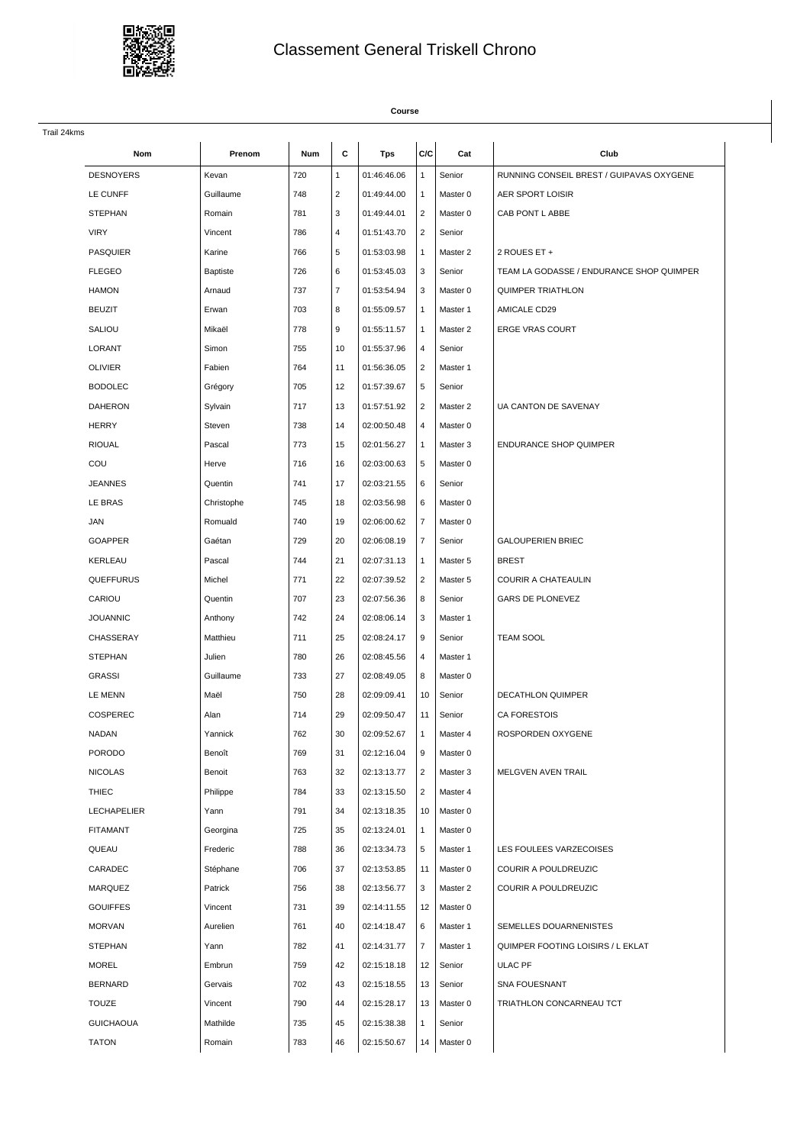

## Classement General Triskell Chrono

## **Course**

| Trail 24kms        |                 |     |                |             |                |          |                                          |
|--------------------|-----------------|-----|----------------|-------------|----------------|----------|------------------------------------------|
| Nom                | Prenom          | Num | C              | <b>Tps</b>  | C/C            | Cat      | Club                                     |
| <b>DESNOYERS</b>   | Kevan           | 720 | $\mathbf{1}$   | 01:46:46.06 | $\mathbf{1}$   | Senior   | RUNNING CONSEIL BREST / GUIPAVAS OXYGENE |
| LE CUNFF           | Guillaume       | 748 | $\overline{2}$ | 01:49:44.00 | $\mathbf{1}$   | Master 0 | AER SPORT LOISIR                         |
| <b>STEPHAN</b>     | Romain          | 781 | 3              | 01:49:44.01 | $\overline{2}$ | Master 0 | CAB PONT L ABBE                          |
| <b>VIRY</b>        | Vincent         | 786 | $\overline{4}$ | 01:51:43.70 | $\overline{2}$ | Senior   |                                          |
| <b>PASQUIER</b>    | Karine          | 766 | 5              | 01:53:03.98 | $\mathbf{1}$   | Master 2 | 2 ROUES ET +                             |
| <b>FLEGEO</b>      | <b>Baptiste</b> | 726 | 6              | 01:53:45.03 | 3              | Senior   | TEAM LA GODASSE / ENDURANCE SHOP QUIMPER |
| <b>HAMON</b>       | Arnaud          | 737 | $\overline{7}$ | 01:53:54.94 | 3              | Master 0 | QUIMPER TRIATHLON                        |
| <b>BEUZIT</b>      | Erwan           | 703 | 8              | 01:55:09.57 | $\mathbf{1}$   | Master 1 | AMICALE CD29                             |
| SALIOU             | Mikaël          | 778 | 9              | 01:55:11.57 | $\mathbf{1}$   | Master 2 | <b>ERGE VRAS COURT</b>                   |
| LORANT             | Simon           | 755 | 10             | 01:55:37.96 | 4              | Senior   |                                          |
| <b>OLIVIER</b>     | Fabien          | 764 | 11             | 01:56:36.05 | $\overline{2}$ | Master 1 |                                          |
| <b>BODOLEC</b>     | Grégory         | 705 | 12             | 01:57:39.67 | 5              | Senior   |                                          |
| <b>DAHERON</b>     | Sylvain         | 717 | 13             | 01:57:51.92 | $\overline{2}$ | Master 2 | UA CANTON DE SAVENAY                     |
| <b>HERRY</b>       | Steven          | 738 | 14             | 02:00:50.48 | 4              | Master 0 |                                          |
| <b>RIOUAL</b>      | Pascal          | 773 | 15             | 02:01:56.27 | 1              | Master 3 | <b>ENDURANCE SHOP QUIMPER</b>            |
| COU                | Herve           | 716 | 16             | 02:03:00.63 | 5              | Master 0 |                                          |
| <b>JEANNES</b>     | Quentin         | 741 | 17             | 02:03:21.55 | 6              | Senior   |                                          |
| LE BRAS            | Christophe      | 745 | 18             | 02:03:56.98 | 6              | Master 0 |                                          |
| <b>JAN</b>         | Romuald         | 740 | 19             | 02:06:00.62 | 7              | Master 0 |                                          |
| <b>GOAPPER</b>     | Gaétan          | 729 | 20             | 02:06:08.19 | 7              | Senior   | <b>GALOUPERIEN BRIEC</b>                 |
| KERLEAU            | Pascal          | 744 | 21             | 02:07:31.13 | $\mathbf{1}$   | Master 5 | <b>BREST</b>                             |
| QUEFFURUS          | Michel          | 771 | 22             | 02:07:39.52 | $\overline{2}$ | Master 5 | COURIR A CHATEAULIN                      |
| CARIOU             | Quentin         | 707 | 23             | 02:07:56.36 | 8              | Senior   | GARS DE PLONEVEZ                         |
| <b>JOUANNIC</b>    | Anthony         | 742 | 24             | 02:08:06.14 | 3              | Master 1 |                                          |
| CHASSERAY          | Matthieu        | 711 | 25             | 02:08:24.17 | 9              | Senior   | <b>TEAM SOOL</b>                         |
| <b>STEPHAN</b>     | Julien          | 780 | 26             | 02:08:45.56 | 4              | Master 1 |                                          |
| <b>GRASSI</b>      | Guillaume       | 733 | 27             | 02:08:49.05 | 8              | Master 0 |                                          |
| LE MENN            | Maël            | 750 | 28             | 02:09:09.41 | 10             | Senior   | <b>DECATHLON QUIMPER</b>                 |
| COSPEREC           | Alan            | 714 | 29             | 02:09:50.47 | 11             | Senior   | <b>CA FORESTOIS</b>                      |
| NADAN              | Yannick         | 762 | 30             | 02:09:52.67 | $\mathbf{1}$   | Master 4 | ROSPORDEN OXYGENE                        |
| <b>PORODO</b>      | Benoît          | 769 | 31             | 02:12:16.04 | l 9            | Master 0 |                                          |
| <b>NICOLAS</b>     | Benoit          | 763 | 32             | 02:13:13.77 | $\overline{2}$ | Master 3 | <b>MELGVEN AVEN TRAIL</b>                |
| <b>THIEC</b>       | Philippe        | 784 | 33             | 02:13:15.50 | $\overline{2}$ | Master 4 |                                          |
| <b>LECHAPELIER</b> | Yann            | 791 | 34             | 02:13:18.35 | 10             | Master 0 |                                          |
| <b>FITAMANT</b>    | Georgina        | 725 | 35             | 02:13:24.01 | $\mathbf{1}$   | Master 0 |                                          |
| QUEAU              | Frederic        | 788 | 36             | 02:13:34.73 | 5              | Master 1 | LES FOULEES VARZECOISES                  |
| CARADEC            | Stéphane        | 706 | 37             | 02:13:53.85 | 11             | Master 0 | COURIR A POULDREUZIC                     |
| <b>MARQUEZ</b>     | Patrick         | 756 | 38             | 02:13:56.77 | 3              | Master 2 | <b>COURIR A POULDREUZIC</b>              |
| <b>GOUIFFES</b>    | Vincent         | 731 | 39             | 02:14:11.55 | 12             | Master 0 |                                          |
| <b>MORVAN</b>      | Aurelien        | 761 | 40             | 02:14:18.47 | 6              | Master 1 | SEMELLES DOUARNENISTES                   |
| <b>STEPHAN</b>     | Yann            | 782 | 41             | 02:14:31.77 | $\overline{7}$ | Master 1 | QUIMPER FOOTING LOISIRS / L EKLAT        |
| <b>MOREL</b>       | Embrun          | 759 | 42             | 02:15:18.18 | 12             | Senior   | ULAC PF                                  |
| <b>BERNARD</b>     | Gervais         | 702 | 43             | 02:15:18.55 | 13             | Senior   | <b>SNA FOUESNANT</b>                     |
| <b>TOUZE</b>       | Vincent         | 790 | 44             | 02:15:28.17 | 13             | Master 0 | TRIATHLON CONCARNEAU TCT                 |
| <b>GUICHAOUA</b>   | Mathilde        | 735 | 45             | 02:15:38.38 | $\mathbf{1}$   | Senior   |                                          |
| <b>TATON</b>       | Romain          | 783 | 46             | 02:15:50.67 | 14             | Master 0 |                                          |